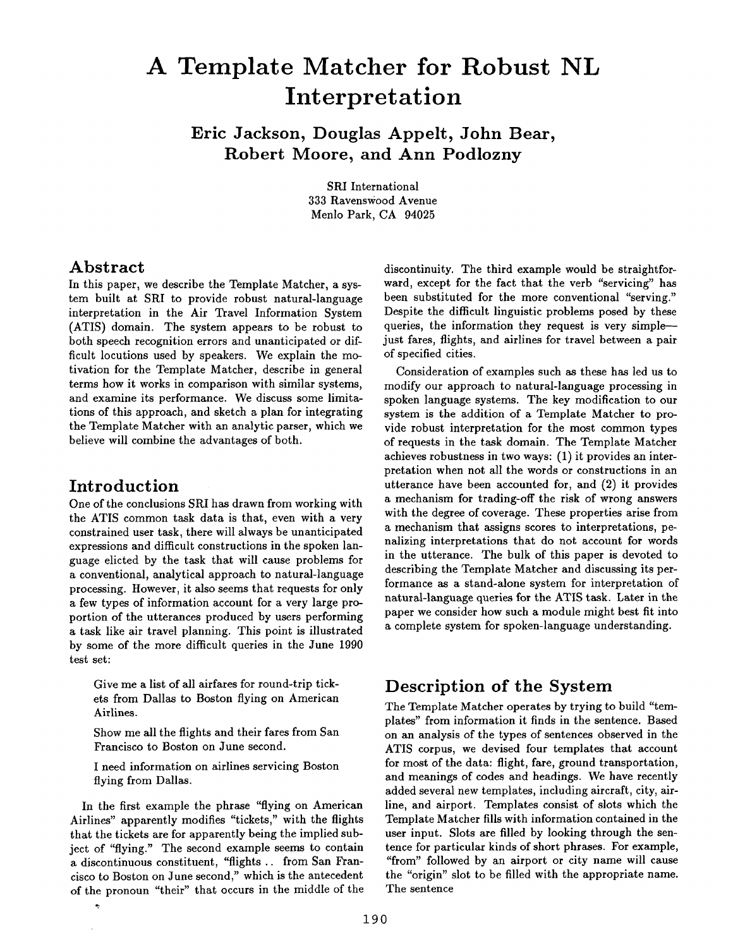# **A Template Matcher for Robust NL Interpretation**

**Eric Jackson, Douglas Appelt, John Bear, Robert Moore, and Ann Podlozny** 

> SRI International 333 Ravenswood Avenue Menlo Park, CA 94025

#### **Abstract**

In this paper, we describe the Template Matcher, a system built at SRI to provide robust natural-language interpretation in the Air Travel Information System (ATIS) domain. The system appears to be robust to both speech recognition errors and unanticipated or difficult locutions used by speakers. We explain the motivation for the Template Matcher, describe in general terms how it works in comparison with similar systems, and examine its performance. We discuss some limitations of this approach, and sketch a plan for integrating the Template Matcher with an analytic parser, which we believe will combine the advantages of both.

# **Introduction**

 $\ddot{\phantom{0}}$ 

One of the conclusions SRI has drawn from working with the ATIS common task data is that, even with a very constrained user task, there will always be unanticipated expressions and difficult constructions in the spoken language elicted by the task that will cause problems for a conventional, analytical approach to natural-language processing. However, it also seems that requests for only a few types of information account for a very large proportion of the utterances produced by users performing a task like air travel planning. This point is illustrated by some of the more difficult queries in the June 1990 test set:

Give me a list of all airfares for round-trip tickets from Dallas to Boston flying on American Airlines.

Show me all the flights and their fares from San Francisco to Boston on June second.

I need information on airlines servicing Boston flying from Dallas.

In the first example the phrase "flying on American Airlines" apparently modifies "tickets," with the flights that the tickets are for apparently being the implied subject of "flying." The second example seems to contain a discontinuous constituent, "flights .. from San Francisco to Boston on June second," which is the antecedent of the pronoun "their" that occurs in the middle of the

discontinuity. The third example would be straightforward, except for the fact that the verb "servicing" has been substituted for the more conventional "serving." Despite the difficult linguistic problems posed by these queries, the information they request is very simple--just fares, flights, and airlines for travel between a pair of specified cities.

Consideration of examples such as these has led us to modify our approach to natural-language processing in spoken language systems. The key modification to our system is the addition of a Template Matcher to provide robust interpretation for the most common types of requests in the task domain. The Template Matcher achieves robustness in two ways: (1) it provides an interpretation when not all the words or constructions in an utterance have been accounted for, and (2) it provides a mechanism for trading-off the risk of wrong answers with the degree of coverage. These properties arise from a mechanism that assigns scores to interpretations, penalizing interpretations that do not account for words in the utterance. The bulk of this paper is devoted to describing the Template Matcher and discussing its performance as a stand-alone system for interpretation of natural-language queries for the ATIS task. Later in the paper we consider how such a module might best fit into a complete system for spoken-language understanding.

# **Description of the System**

The Template Matcher operates by trying to build "templates" from information it finds in the sentence. Based on an analysis of the types of sentences observed in the ATIS corpus, we devised four templates that account for most of the data: flight, fare, ground transportation, and meanings of codes and headings. We have recently added several new templates, including aircraft, city, airline, and airport. Templates consist of slots which the Template Matcher fills with information contained in the user input. Slots are filled by looking through the sentence for particular kinds of short phrases. For example, "from" followed by an airport or city name will cause the "origin" slot to be filled with the appropriate name. The sentence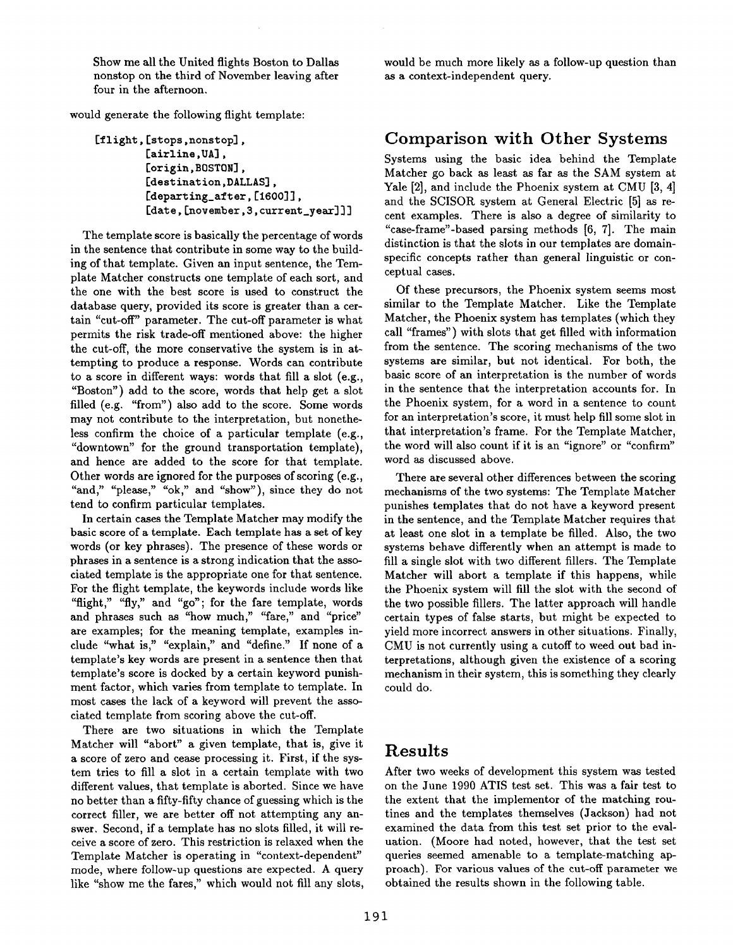Show me all the United flights Boston to Dallas nonstop on the third of November leaving after four in the afternoon.

would generate the following flight template:

```
[flight, [stops, nonstop],
[airline, UA],
 [origin, BOSTON],
[destination,DALLAS], 
[departing_after, [1600]],
[date, [november, 3, current_year]]]
```
The template score is basically the percentage of words in the sentence that contribute in some way to the building of that template. Given an input sentence, the Template Matcher constructs one template of each sort, and the one with the best score is used to construct the database query, provided its score is greater than a certain "cut-off" parameter. The cut-off parameter is what permits the risk trade-off mentioned above: the higher the cut-off, the more conservative the system is in attempting to produce a response. Words can contribute to a score in different ways: words that fill a slot (e.g., "Boston") add to the score, words that help get a slot filled (e.g. "from") also add to the score. Some words may not contribute to the interpretation, but nonetheless confirm the choice of a particular template (e.g., "downtown" for the ground transportation template), and hence are added to the score for that template. Other words are ignored for the purposes of scoring (e.g., "and," "please," "ok," and "show"), since they do not tend to confirm particular templates.

In certain cases the Template Matcher may modify the basic score of a template. Each template has a set of key words (or key phrases). The presence of these words or phrases in a sentence is a strong indication that the associated template is the appropriate one for that sentence. For the flight template, the keywords include words like "flight," "fly," and "go"; for the fare template, words and phrases such as "how much," "fare," and "price" are examples; for the meaning template, examples include "what is," "explain," and "define." If none of a template's key words are present in a sentence then that template's score is docked by a certain keyword punishment factor, which varies from template to template. In most cases the lack of a keyword will prevent the associated template from scoring above the cut-off.

There are two situations in which the Template Matcher will "abort" a given template, that is, give it a score of zero and cease processing it. First, if the system tries to fill a slot in a certain template with two different values, that template is aborted. Since we have no better than a fifty-fifty chance of guessing which is the correct filler, we are better off not attempting any answer. Second, if a template has no slots filled, it will receive a score of zero. This restriction is relaxed when the Template Matcher is operating in "context-dependent" mode, where follow-up questions are expected. A query like "show me the fares," which would not fill any slots, would be much more likely as a follow-up question than as a context-independent query.

## **Comparison with Other Systems**

Systems using the basic idea behind the Template Matcher go back as least as far as the SAM system at Yale [2], and include the Phoenix system at CMU [3, 4] and the SCISOR system at General Electric [5] as recent examples. There is also a degree of similarity to "case-frame"-based parsing methods [6, 7]. The main distinction is that the slots in our templates are domainspecific concepts rather than general linguistic or conceptual cases.

Of these precursors, the Phoenix system seems most similar to the Template Matcher. Like the Template Matcher, the Phoenix system has templates (which they call "frames") with slots that get filled with information from the sentence. The scoring mechanisms of the two systems are similar, but not identical. For both, the basic score of an interpretation is the number of words in the sentence that the interpretation accounts for. In the Phoenix system, for a word in a sentence to count for an interpretation's score, it must help fill some slot in that interpretation's frame. For the Template Matcher, the word will also count if it is an "ignore" or "confirm" word as discussed above.

There are several other differences between the scoring mechanisms of the two systems: The Template Matcher punishes templates that do not have a keyword present in the sentence, and the Template Matcher requires that at least one slot in a template be filled. Also, the two systems behave differently when an attempt is made to fill a single slot with two different fillers. The Template Matcher will abort a template if this happens, while the Phoenix system will fill the slot with the second of the two possible fillers. The latter approach will handle certain types of false starts, but might be expected to yield more incorrect answers in other situations. Finally, CMU is not currently using a cutoff to weed out bad interpretations, although given the existence of a scoring mechanism in their system, this is something they clearly could do.

# **Results**

After two weeks of development this system was tested on the June 1990 ATIS test set. This was a fair test to the extent that the implementor of the matching routines and the templates themselves (Jackson) had not examined the data from this test set prior to the evaluation. (Moore had noted, however, that the test set queries seemed amenable to a template-matching approach). For various values of the cut-off parameter we obtained the results shown in the following table.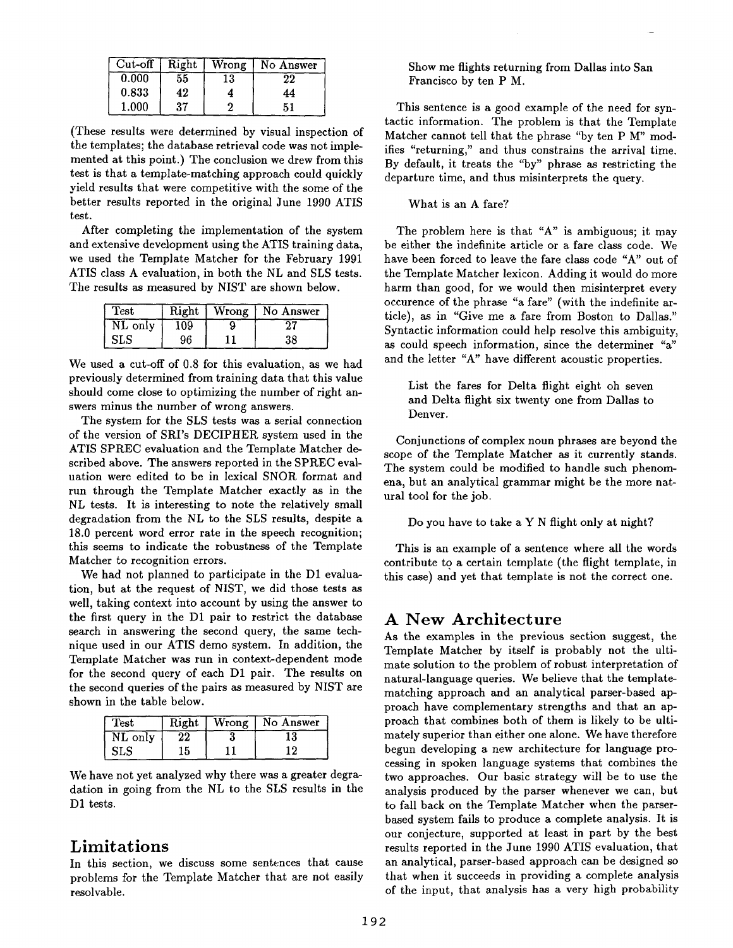| $Cut$ -off | Right | Wrong | No Answer |
|------------|-------|-------|-----------|
| 0.000      | 55    | 13    | 22        |
| 0.833      | 42    |       | 44        |
| 1.000      | 37    |       | 51        |

(These results were determined by visual inspection of the templates; the database retrieval code was not implemented at this point.) The conclusion we drew from this test is that a template-matching approach could quickly yield results that were competitive with the some of the better results reported in the original June 1990 ATIS test.

After completing the implementation of the system and extensive development using the ATIS training data, we used the Template Matcher for the February 1991 ATIS class A evaluation, in both the NL and SLS tests. The results as measured by NIST are shown below.

| Test    | Right | Wrong | No Answer |
|---------|-------|-------|-----------|
| NL only | 109   |       |           |
| SLS     | 96    |       | 38        |

We used a cut-off of 0.8 for this evaluation, as we had previously determined from training data that this value should come close to optimizing the number of right answers minus the number of wrong answers.

The system for the SLS tests was a serial connection of the version of SRI's DECIPHER system used in the ATIS SPREC evaluation and the Template Matcher described above. The answers reported in the SPREC evaluation were edited to be in lexical SNOR format and run through the Template Matcher exactly as in the NL tests. It is interesting to note the relatively small degradation from the NL to the SLS results, despite a 18.0 percent word error rate in the speech recognition; this seems to indicate the robustness of the Template Matcher to recognition errors.

We had not planned to participate in the D1 evaluation, but at the request of NIST, we did those tests as well, taking context into account by using the answer to the first query in the D1 pair to restrict the database search in answering the second query, the same technique used in our ATIS demo system. In addition, the Template Matcher was run in context-dependent mode for the second query of each D1 pair. The results on the second queries of the pairs as measured by NIST are shown in the table below.

| <b>Test</b>  | Right | Wrong | No Answer |
|--------------|-------|-------|-----------|
| NL only      |       |       | ιõ        |
| $_{\rm SLS}$ | 15    |       |           |

We have not yet analyzed why there was a greater degradation in going from the NL to the SLS results in the D1 tests.

### **Limitations**

In this section, we discuss some sentences that cause problems for the Template Matcher that are not easily resolvable.

Show me flights returning from Dallas into San Francisco by ten P M.

This sentence is a good example of the need for syntactic information. The problem is that the Template Matcher cannot tell that the phrase "by ten P M" modifies "returning," and thus constrains the arrival time. By default, it treats the "by" phrase as restricting the departure time, and thus misinterprets the query.

What is an A fare?

The problem here is that "A" is ambiguous; it may be either the indefinite article or a fare class code. We have been forced to leave the fare class code "A" out of the Template Matcher lexicon. Adding it would do more harm than good, for we would then misinterpret every occurence of the phrase "a fare" (with the indefinite article), as in "Give me a fare from Boston to Dallas." Syntactic information could help resolve this ambiguity, as could speech information, since the determiner "a" and the letter "A" have different acoustic properties.

List the fares for Delta flight eight oh seven and Delta flight six twenty one from Dallas to Denver.

Conjunctions of complex noun phrases are beyond the scope of the Template Matcher as it currently stands. The system could be modified to handle such phenomena, but an analytical grammar might be the more natural tool for the job.

Do you have to take a Y N flight only at night?

This is an example of a sentence where all the words contribute to a certain template (the flight template, in this case) and yet that template is not the correct one.

# **A New Architecture**

As the examples in the previous section suggest, the Template Matcher by itself is probably not the ultimate solution to the problem of robust interpretation of natural-language queries. We believe that the templatematching approach and an analytical parser-based approach have complementary strengths and that an approach that combines both of them is likely to be ultimately superior than either one alone. We have therefore begun developing a new architecture for language processing in spoken language systems that combines the two approaches. Our basic strategy will be to use the analysis produced by the parser whenever we can, but to fall back on the Template Matcher when the parserbased system fails to produce a complete analysis. It is our conjecture, supported at least in part by the best results reported in the June 1990 ATIS evaluation, that an analytical, parser-based approach can be designed so that when it succeeds in providing a complete analysis of the input, that analysis has a very high probability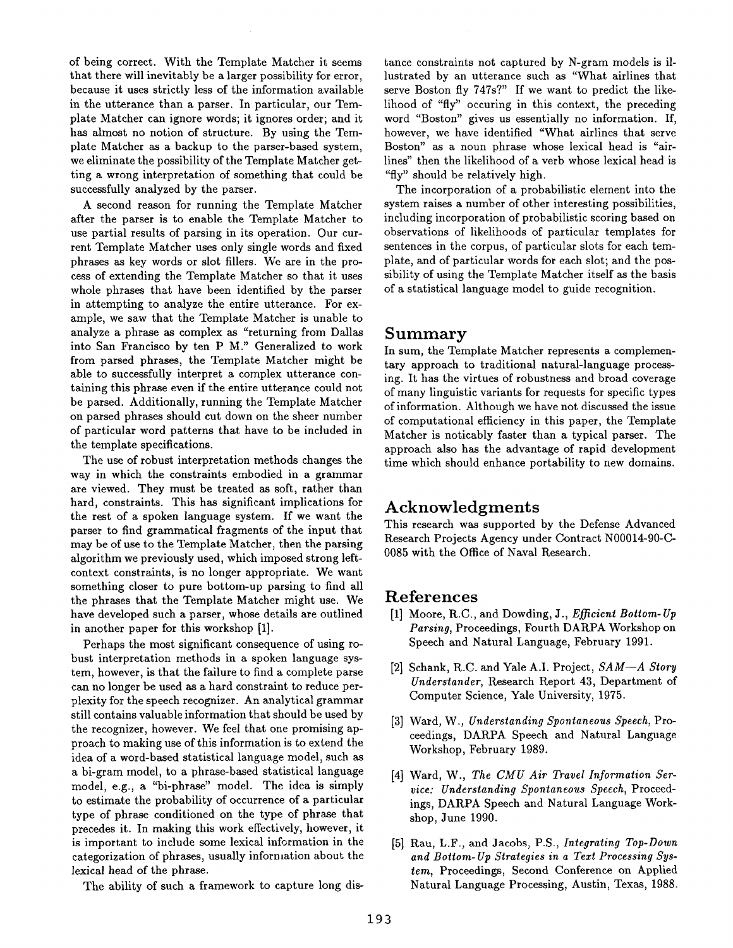of being correct. With the Template Matcher it seems that there will inevitably be a larger possibility for error, because it uses strictly less of the information available in the utterance than a parser. In particular, our Template Matcher can ignore words; it ignores order; and it has almost no notion of structure. By using the Template Matcher as a backup to the parser-based system, we eliminate the possibility of the Template Matcher getting a wrong interpretation of something that could be successfully analyzed by the parser.

A second reason for running the Template Matcher after the parser is to enable the Template Matcher to use partial results of parsing in its operation. Our current Template Matcher uses only single words and fixed phrases as key words or slot fillers. We are in the process of extending the Template Matcher so that it uses whole phrases that have been identified by the parser in attempting to analyze the entire utterance. For example, we saw that the Template Matcher is unable to analyze a phrase as complex as "returning from Dallas into San Francisco by ten P M." Generalized to work from parsed phrases, the Template Matcher might be able to successfully interpret a complex utterance containing this phrase even if the entire utterance could not be parsed. Additionally, running the Template Matcher on parsed phrases should cut down on the sheer number of particular word patterns that have to be included in the template specifications.

The use of robust interpretation methods changes the way in which the constraints embodied in a grammar are viewed. They must be treated as soft, rather than hard, constraints. This has significant implications for the rest of a spoken language system. If we want the parser to find grammatical fragments of the input that may be of use to the Template Matcher, then the parsing algorithm we previously used, which imposed strong leftcontext constraints, is no longer appropriate. We want something closer to pure bottom-up parsing to find all the phrases that the Template Matcher might use. We have developed such a parser, whose details are outlined in another paper for this workshop [1].

Perhaps the most significant consequence of using robust interpretation methods in a spoken language system, however, is that the failure to find a complete parse can no longer be used as a hard constraint to reduce perplexity for the speech recognizer. An analytical grammar still contains valuable information that should be used by the recognizer, however. We feel that one promising approach to making use of this information is to extend the idea of a word-based statistical language model, such as a bi-gram model, to a phrase-based statistical language model, e.g., a "bi-phrase" model. The idea is simply to estimate the probability of occurrence of a particular type of phrase conditioned on the type of phrase that precedes it. In making this work effectively, however, it is important to include some lexical information in the categorization of phrases, usually information about the lexical head of the phrase.

The ability of such a framework to capture long dis-

tance constraints not captured by N-gram models is illustrated by an utterance such as "What airlines that serve Boston fly 747s?" If we want to predict the likelihood of "fly" occuring in this context, the preceding word "Boston" gives us essentially no information. If, however, we have identified "What airlines that serve Boston" as a noun phrase whose lexical head is "airlines" then the likelihood of a verb whose lexical head is "fly" should be relatively high.

The incorporation of a probabilistic element into the system raises a number of other interesting possibilities, including incorporation of probabilistic scoring based on observations of likelihoods of particular templates for sentences in the corpus, of particular slots for each template, and of particular words for each slot; and the possibility of using the Template Matcher itself as the basis of a statistical language model to guide recognition.

#### **Summary**

In sum, the Template Matcher represents a complementary approach to traditional natural-language processing. It has the virtues of robustness and broad coverage of many linguistic variants for requests for specific types of information. Although we have not discussed the issue of computational efficiency in this paper, the Template Matcher is noticably faster than a typical parser. The approach also has the advantage of rapid development time which should enhance portability to new domains.

### **Acknowledgments**

This research was supported by the Defense Advanced Research Projects Agency under Contract N00014-90-C-0085 with the Office of Naval Research.

#### **References**

- [1] Moore, R.C., and Dowding, J., *Efficient Bottom- Up Parsing,* Proceedings, Fourth DARPA Workshop on Speech and Natural Language, February 1991.
- **[2]** Schank, R.C. and Yale A.I. Project, *SAM--A Story Understander,* Research Report 43, Department of Computer Science, Yale University, 1975.
- **[3]** Ward, W., *Understanding Spontaneous Speech,* Proceedings, DARPA Speech and Natural Language Workshop, February 1989.
- [4] Ward, W., *The CMU Air Travel Information Service: Understanding Spontaneous Speech,* Proceedings, DARPA Speech and Natural Language Workshop, June 1990.
- **[5]** Rau, L.F., and Jacobs, P.S., *Integrating Top-Down and Bottom-Up Strategies in a Text Processing System,* Proceedings, Second Conference on Applied Natural Language Processing, Austin, Texas, 1988.